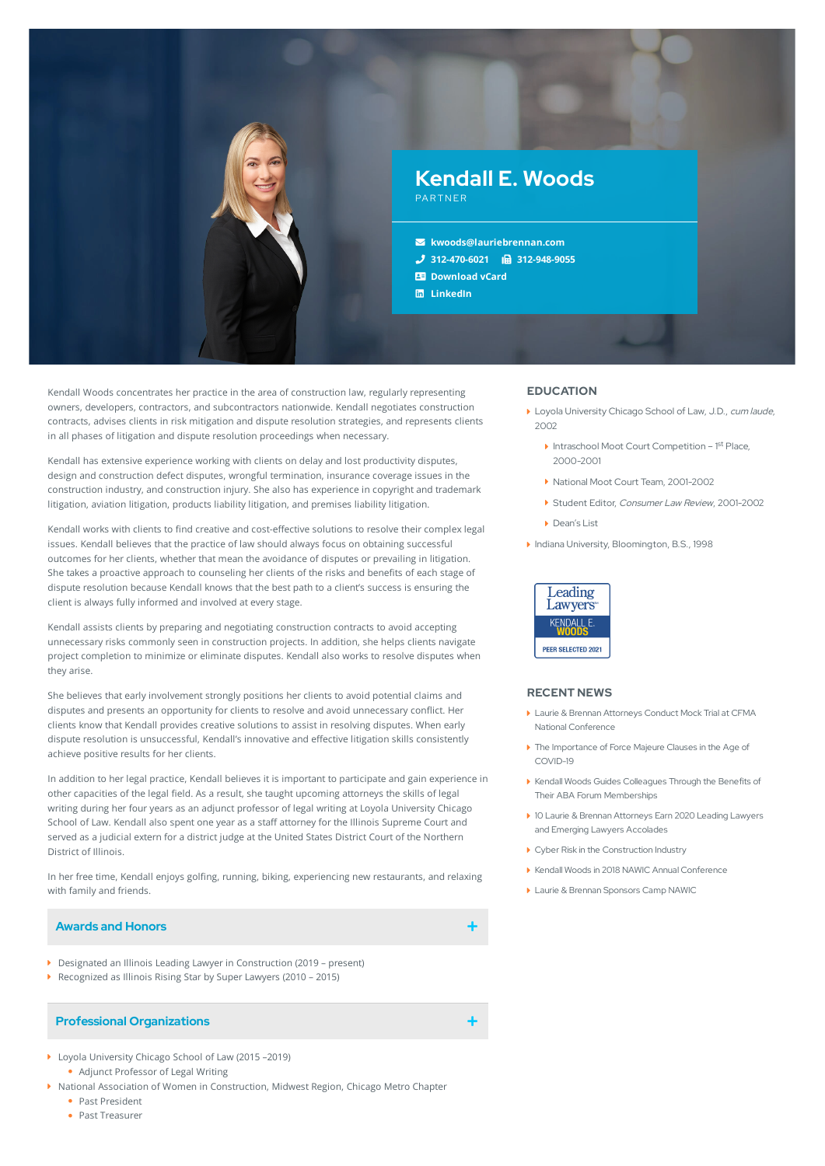

Kendall Woods concentrates her practice in the area of construction law, regularly representing owners, developers, contractors, and subcontractors nationwide. Kendall negotiates construction contracts, advises clients in risk mitigation and dispute resolution strategies, and represents clients in all phases of litigation and dispute resolution proceedings when necessary.

Kendall has extensive experience working with clients on delay and lost productivity disputes, design and construction defect disputes, wrongful termination, insurance coverage issues in the construction industry, and construction injury. She also has experience in copyright and trademark litigation, aviation litigation, products liability litigation, and premises liability litigation.

Kendall works with clients to find creative and cost-effective solutions to resolve their complex legal issues. Kendall believes that the practice of law should always focus on obtaining successful outcomes for her clients, whether that mean the avoidance of disputes or prevailing in litigation. She takes a proactive approach to counseling her clients of the risks and benefits of each stage of dispute resolution because Kendall knows that the best path to a client's success is ensuring the client is always fully informed and involved at every stage.

Kendall assists clients by preparing and negotiating construction contracts to avoid accepting unnecessary risks commonly seen in construction projects. In addition, she helps clients navigate project completion to minimize or eliminate disputes. Kendall also works to resolve disputes when they arise.

She believes that early involvement strongly positions her clients to avoid potential claims and disputes and presents an opportunity for clients to resolve and avoid unnecessary conflict. Her clients know that Kendall provides creative solutions to assist in resolving disputes. When early dispute resolution is unsuccessful, Kendall's innovative and effective litigation skills consistently achieve positive results for her clients.

In addition to her legal practice, Kendall believes it is important to participate and gain experience in other capacities of the legal field. As a result, she taught upcoming attorneys the skills of legal writing during her four years as an adjunct professor of legal writing at Loyola University Chicago School of Law. Kendall also spent one year as a staff attorney for the Illinois Supreme Court and served as a judicial extern for a district judge at the United States District Court of the Northern District of Illinois.

In her free time, Kendall enjoys golfing, running, biking, experiencing new restaurants, and relaxing with family and friends.

### **Awards and Honors**

- Designated an Illinois Leading Lawyer in Construction (2019 present)
- Recognized as Illinois Rising Star by Super Lawyers (2010 2015)

## **Professional Organizations**

- ▶ Loyola University Chicago School of Law (2015 –2019) Adjunct Professor of Legal Writing
- National Association of Women in Construction, Midwest Region, Chicago Metro Chapter
	- Past President
	- Past Treasurer

# **EDUCATION**

- Loyola University Chicago School of Law, J.D., cum laude,  $2002$ 
	- Intraschool Moot Court Competition 1<sup>st</sup> Place, 2000-2001
	- ▶ National Moot Court Team, 2001-2002
	- Student Editor, Consumer Law Review, 2001-2002
	- Dean's List
- Indiana University, Bloomington, B.S., 1998



### **RECENT NEWS**

- Laurie & Brennan Attorneys Conduct Mock Trial at CFMA National [Conference](https://www.lauriebrennan.com/blog/laurie-brennan-attorneys-conduct-mock-trial-at-cfma-national-conference/)
- The [Importance](https://www.lauriebrennan.com/blog/the-importance-of-force-majeure-clauses-in-the-age-of-covid-19/) of Force Majeure Clauses in the Age of COVID-19
- Kendall Woods Guides Colleagues Through the Benefits of Their ABA Forum [Memberships](https://www.lauriebrennan.com/blog/kendall-woods-helps-her-colleagues-supercharge-their-aba-forum-memberships/)
- 10 Laurie & Brennan Attorneys Earn 2020 Leading Lawyers and Emerging Lawyers [Accolades](https://www.lauriebrennan.com/blog/ten-laurie-brennan-attorneys-earn-2020-leading-lawyers-and-emerging-lawyers-accolades/)
- Cyber Risk in the [Construction](https://www.lauriebrennan.com/blog/cyber-risk-in-the-construction-industry/) Industry
- Kendall Woods in 2018 NAWIC Annual [Conference](https://www.lauriebrennan.com/blog/2018-nawic-annual-conference/)
- **Laurie & Brennan [Sponsors](https://www.lauriebrennan.com/blog/laurie-brennan-sponsors-camp-nawic/) Camp NAWIC**